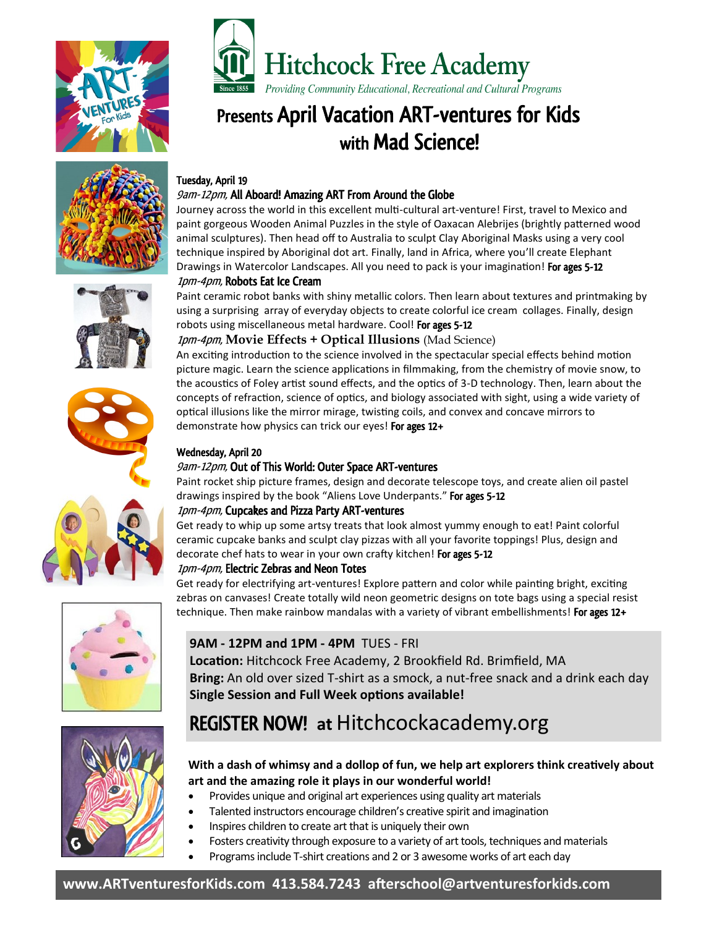



# Presents April Vacation ART-ventures for Kids with Mad Science!









Journey across the world in this excellent multi-cultural art-venture! First, travel to Mexico and paint gorgeous Wooden Animal Puzzles in the style of Oaxacan Alebrijes (brightly patterned wood animal sculptures). Then head off to Australia to sculpt Clay Aboriginal Masks using a very cool technique inspired by Aboriginal dot art. Finally, land in Africa, where you'll create Elephant Drawings in Watercolor Landscapes. All you need to pack is your imagination! For ages 5-12 1pm-4pm, Robots Eat Ice Cream

#### Paint ceramic robot banks with shiny metallic colors. Then learn about textures and printmaking by using a surprising array of everyday objects to create colorful ice cream collages. Finally, design robots using miscellaneous metal hardware. Cool! For ages 5-12

# 1pm-4pm, **Movie Effects + Optical Illusions** (Mad Science)

An exciting introduction to the science involved in the spectacular special effects behind motion picture magic. Learn the science applications in filmmaking, from the chemistry of movie snow, to the acoustics of Foley artist sound effects, and the optics of 3-D technology. Then, learn about the concepts of refraction, science of optics, and biology associated with sight, using a wide variety of optical illusions like the mirror mirage, twisting coils, and convex and concave mirrors to demonstrate how physics can trick our eyes! For ages 12+

#### Wednesday, April 20

# 9am-12pm, Out of This World: Outer Space ART-ventures

Paint rocket ship picture frames, design and decorate telescope toys, and create alien oil pastel drawings inspired by the book "Aliens Love Underpants." For ages 5-12

### 1pm-4pm, Cupcakes and Pizza Party ART-ventures

Get ready to whip up some artsy treats that look almost yummy enough to eat! Paint colorful ceramic cupcake banks and sculpt clay pizzas with all your favorite toppings! Plus, design and decorate chef hats to wear in your own crafty kitchen! For ages 5-12

### 1pm-4pm, Electric Zebras and Neon Totes

Get ready for electrifying art-ventures! Explore pattern and color while painting bright, exciting zebras on canvases! Create totally wild neon geometric designs on tote bags using a special resist technique. Then make rainbow mandalas with a variety of vibrant embellishments! For ages 12+

# **9AM - 12PM and 1PM - 4PM** TUES - FRI

**Location:** Hitchcock Free Academy, 2 Brookfield Rd. Brimfield, MA **Bring:** An old over sized T-shirt as a smock, a nut-free snack and a drink each day **Single Session and Full Week options available!**

# REGISTER NOW! **at** Hitchcockacademy.org



# **With a dash of whimsy and a dollop of fun, we help art explorers think creatively about art and the amazing role it plays in our wonderful world!**

- Provides unique and original art experiences using quality art materials
- Talented instructors encourage children's creative spirit and imagination
- Inspires children to create art that is uniquely their own
- Fosters creativity through exposure to a variety of art tools, techniques and materials
- Programs include T‐shirt creations and 2 or 3 awesome works of art each day